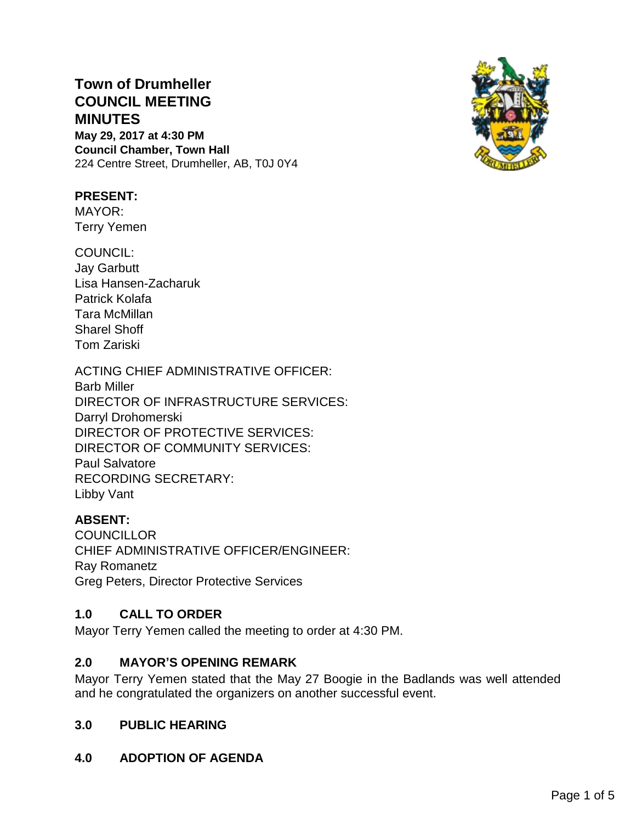# **Town of Drumheller COUNCIL MEETING MINUTES May 29, 2017 at 4:30 PM**

**Council Chamber, Town Hall** 224 Centre Street, Drumheller, AB, T0J 0Y4



## **PRESENT:**

MAYOR: Terry Yemen

COUNCIL: Jay Garbutt Lisa Hansen-Zacharuk Patrick Kolafa Tara McMillan Sharel Shoff Tom Zariski

ACTING CHIEF ADMINISTRATIVE OFFICER: Barb Miller DIRECTOR OF INFRASTRUCTURE SERVICES: Darryl Drohomerski DIRECTOR OF PROTECTIVE SERVICES: DIRECTOR OF COMMUNITY SERVICES: Paul Salvatore RECORDING SECRETARY: Libby Vant

# **ABSENT:**

**COUNCILLOR** CHIEF ADMINISTRATIVE OFFICER/ENGINEER: Ray Romanetz Greg Peters, Director Protective Services

## **1.0 CALL TO ORDER**

Mayor Terry Yemen called the meeting to order at 4:30 PM.

## **2.0 MAYOR'S OPENING REMARK**

Mayor Terry Yemen stated that the May 27 Boogie in the Badlands was well attended and he congratulated the organizers on another successful event.

## **3.0 PUBLIC HEARING**

# **4.0 ADOPTION OF AGENDA**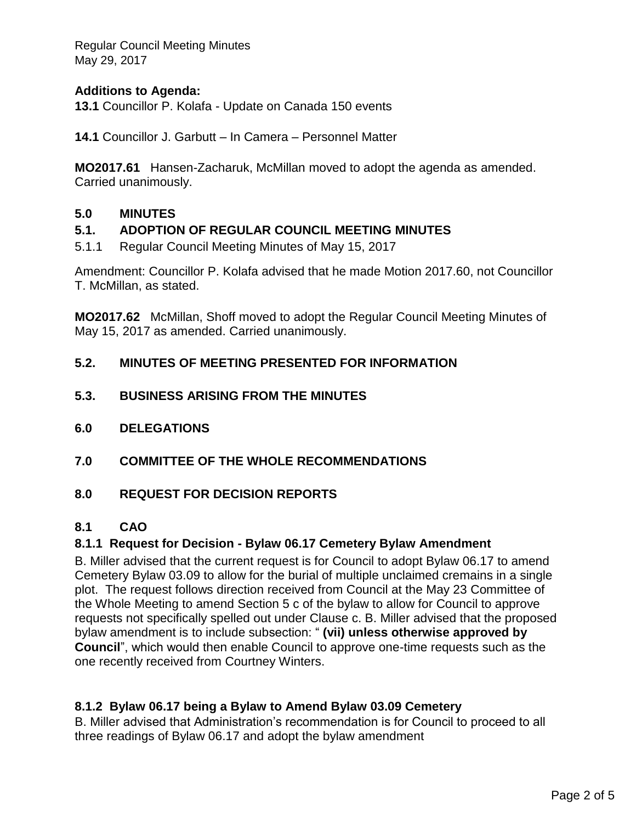Regular Council Meeting Minutes May 29, 2017

## **Additions to Agenda:**

**13.1** Councillor P. Kolafa - Update on Canada 150 events

**14.1** Councillor J. Garbutt – In Camera – Personnel Matter

**MO2017.61** Hansen-Zacharuk, McMillan moved to adopt the agenda as amended. Carried unanimously.

#### **5.0 MINUTES**

#### **5.1. ADOPTION OF REGULAR COUNCIL MEETING MINUTES**

5.1.1 Regular Council Meeting Minutes of May 15, 2017

Amendment: Councillor P. Kolafa advised that he made Motion 2017.60, not Councillor T. McMillan, as stated.

**MO2017.62** McMillan, Shoff moved to adopt the Regular Council Meeting Minutes of May 15, 2017 as amended. Carried unanimously.

#### **5.2. MINUTES OF MEETING PRESENTED FOR INFORMATION**

- **5.3. BUSINESS ARISING FROM THE MINUTES**
- **6.0 DELEGATIONS**
- **7.0 COMMITTEE OF THE WHOLE RECOMMENDATIONS**

#### **8.0 REQUEST FOR DECISION REPORTS**

#### **8.1 CAO**

#### **8.1.1 Request for Decision - Bylaw 06.17 Cemetery Bylaw Amendment**

B. Miller advised that the current request is for Council to adopt Bylaw 06.17 to amend Cemetery Bylaw 03.09 to allow for the burial of multiple unclaimed cremains in a single plot. The request follows direction received from Council at the May 23 Committee of the Whole Meeting to amend Section 5 c of the bylaw to allow for Council to approve requests not specifically spelled out under Clause c. B. Miller advised that the proposed bylaw amendment is to include subsection: " **(vii) unless otherwise approved by Council**", which would then enable Council to approve one-time requests such as the one recently received from Courtney Winters.

#### **8.1.2 Bylaw 06.17 being a Bylaw to Amend Bylaw 03.09 Cemetery**

B. Miller advised that Administration's recommendation is for Council to proceed to all three readings of Bylaw 06.17 and adopt the bylaw amendment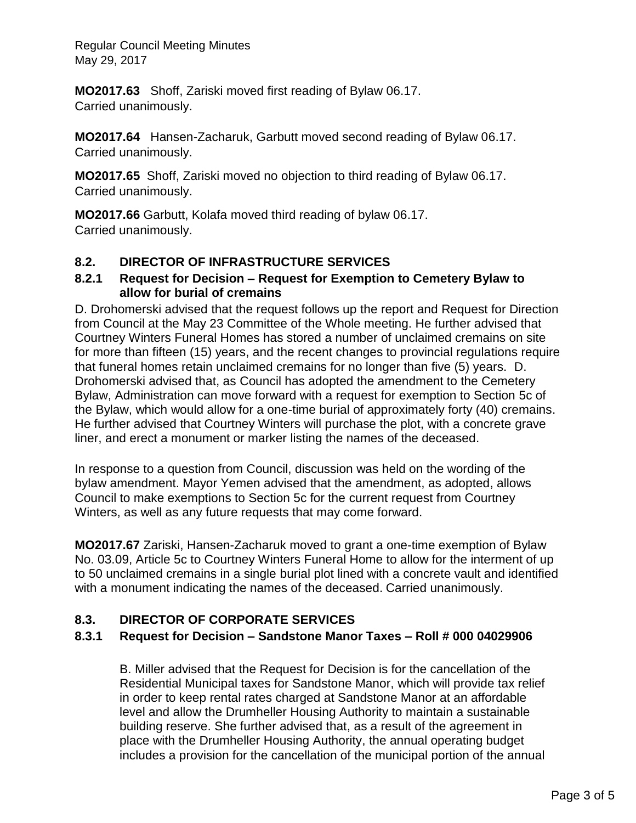Regular Council Meeting Minutes May 29, 2017

**MO2017.63** Shoff, Zariski moved first reading of Bylaw 06.17. Carried unanimously.

**MO2017.64** Hansen-Zacharuk, Garbutt moved second reading of Bylaw 06.17. Carried unanimously.

**MO2017.65** Shoff, Zariski moved no objection to third reading of Bylaw 06.17. Carried unanimously.

**MO2017.66** Garbutt, Kolafa moved third reading of bylaw 06.17. Carried unanimously.

# **8.2. DIRECTOR OF INFRASTRUCTURE SERVICES**

## **8.2.1 Request for Decision – Request for Exemption to Cemetery Bylaw to allow for burial of cremains**

D. Drohomerski advised that the request follows up the report and Request for Direction from Council at the May 23 Committee of the Whole meeting. He further advised that Courtney Winters Funeral Homes has stored a number of unclaimed cremains on site for more than fifteen (15) years, and the recent changes to provincial regulations require that funeral homes retain unclaimed cremains for no longer than five (5) years. D. Drohomerski advised that, as Council has adopted the amendment to the Cemetery Bylaw, Administration can move forward with a request for exemption to Section 5c of the Bylaw, which would allow for a one-time burial of approximately forty (40) cremains. He further advised that Courtney Winters will purchase the plot, with a concrete grave liner, and erect a monument or marker listing the names of the deceased.

In response to a question from Council, discussion was held on the wording of the bylaw amendment. Mayor Yemen advised that the amendment, as adopted, allows Council to make exemptions to Section 5c for the current request from Courtney Winters, as well as any future requests that may come forward.

**MO2017.67** Zariski, Hansen-Zacharuk moved to grant a one-time exemption of Bylaw No. 03.09, Article 5c to Courtney Winters Funeral Home to allow for the interment of up to 50 unclaimed cremains in a single burial plot lined with a concrete vault and identified with a monument indicating the names of the deceased. Carried unanimously.

## **8.3. DIRECTOR OF CORPORATE SERVICES**

## **8.3.1 Request for Decision – Sandstone Manor Taxes – Roll # 000 04029906**

B. Miller advised that the Request for Decision is for the cancellation of the Residential Municipal taxes for Sandstone Manor, which will provide tax relief in order to keep rental rates charged at Sandstone Manor at an affordable level and allow the Drumheller Housing Authority to maintain a sustainable building reserve. She further advised that, as a result of the agreement in place with the Drumheller Housing Authority, the annual operating budget includes a provision for the cancellation of the municipal portion of the annual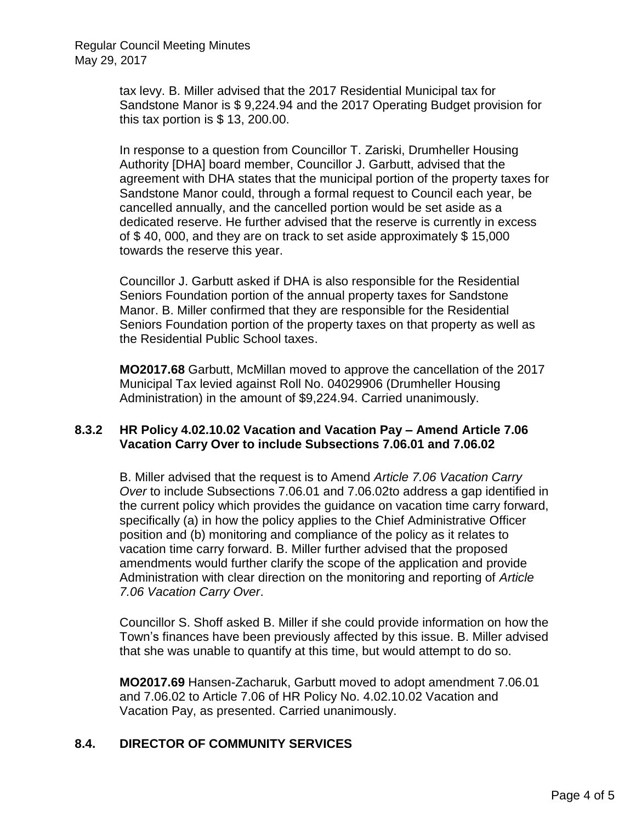tax levy. B. Miller advised that the 2017 Residential Municipal tax for Sandstone Manor is \$ 9,224.94 and the 2017 Operating Budget provision for this tax portion is \$ 13, 200.00.

In response to a question from Councillor T. Zariski, Drumheller Housing Authority [DHA] board member, Councillor J. Garbutt, advised that the agreement with DHA states that the municipal portion of the property taxes for Sandstone Manor could, through a formal request to Council each year, be cancelled annually, and the cancelled portion would be set aside as a dedicated reserve. He further advised that the reserve is currently in excess of \$ 40, 000, and they are on track to set aside approximately \$ 15,000 towards the reserve this year.

Councillor J. Garbutt asked if DHA is also responsible for the Residential Seniors Foundation portion of the annual property taxes for Sandstone Manor. B. Miller confirmed that they are responsible for the Residential Seniors Foundation portion of the property taxes on that property as well as the Residential Public School taxes.

**MO2017.68** Garbutt, McMillan moved to approve the cancellation of the 2017 Municipal Tax levied against Roll No. 04029906 (Drumheller Housing Administration) in the amount of \$9,224.94. Carried unanimously.

#### **8.3.2 HR Policy 4.02.10.02 Vacation and Vacation Pay – Amend Article 7.06 Vacation Carry Over to include Subsections 7.06.01 and 7.06.02**

B. Miller advised that the request is to Amend *Article 7.06 Vacation Carry Over* to include Subsections 7.06.01 and 7.06.02to address a gap identified in the current policy which provides the guidance on vacation time carry forward, specifically (a) in how the policy applies to the Chief Administrative Officer position and (b) monitoring and compliance of the policy as it relates to vacation time carry forward. B. Miller further advised that the proposed amendments would further clarify the scope of the application and provide Administration with clear direction on the monitoring and reporting of *Article 7.06 Vacation Carry Over*.

Councillor S. Shoff asked B. Miller if she could provide information on how the Town's finances have been previously affected by this issue. B. Miller advised that she was unable to quantify at this time, but would attempt to do so.

**MO2017.69** Hansen-Zacharuk, Garbutt moved to adopt amendment 7.06.01 and 7.06.02 to Article 7.06 of HR Policy No. 4.02.10.02 Vacation and Vacation Pay, as presented. Carried unanimously.

#### **8.4. DIRECTOR OF COMMUNITY SERVICES**